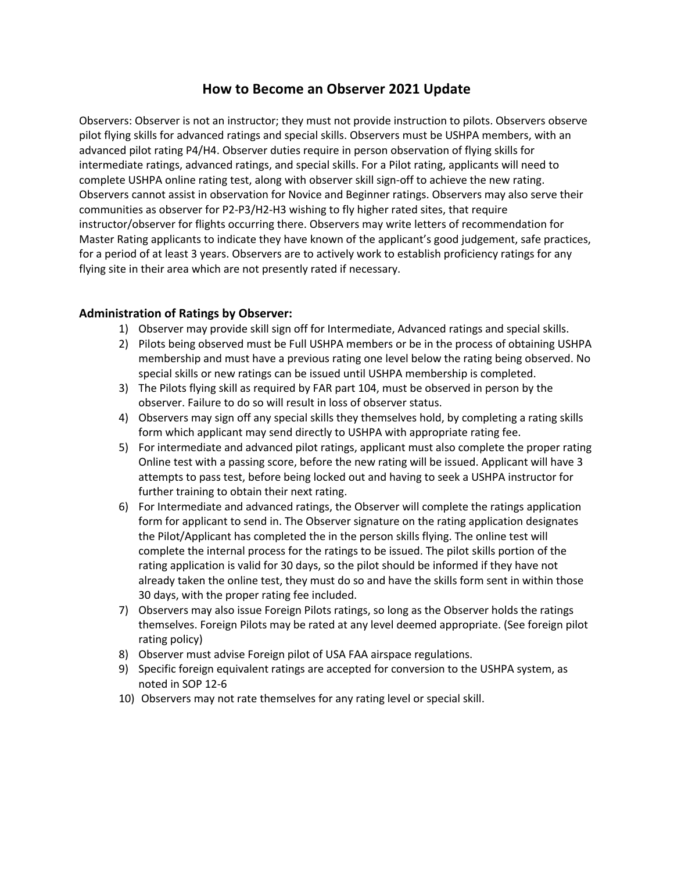## **How to Become an Observer 2021 Update**

Observers: Observer is not an instructor; they must not provide instruction to pilots. Observers observe pilot flying skills for advanced ratings and special skills. Observers must be USHPA members, with an advanced pilot rating P4/H4. Observer duties require in person observation of flying skills for intermediate ratings, advanced ratings, and special skills. For a Pilot rating, applicants will need to complete USHPA online rating test, along with observer skill sign-off to achieve the new rating. Observers cannot assist in observation for Novice and Beginner ratings. Observers may also serve their communities as observer for P2-P3/H2-H3 wishing to fly higher rated sites, that require instructor/observer for flights occurring there. Observers may write letters of recommendation for Master Rating applicants to indicate they have known of the applicant's good judgement, safe practices, for a period of at least 3 years. Observers are to actively work to establish proficiency ratings for any flying site in their area which are not presently rated if necessary.

## **Administration of Ratings by Observer:**

- 1) Observer may provide skill sign off for Intermediate, Advanced ratings and special skills.
- 2) Pilots being observed must be Full USHPA members or be in the process of obtaining USHPA membership and must have a previous rating one level below the rating being observed. No special skills or new ratings can be issued until USHPA membership is completed.
- 3) The Pilots flying skill as required by FAR part 104, must be observed in person by the observer. Failure to do so will result in loss of observer status.
- 4) Observers may sign off any special skills they themselves hold, by completing a rating skills form which applicant may send directly to USHPA with appropriate rating fee.
- 5) For intermediate and advanced pilot ratings, applicant must also complete the proper rating Online test with a passing score, before the new rating will be issued. Applicant will have 3 attempts to pass test, before being locked out and having to seek a USHPA instructor for further training to obtain their next rating.
- 6) For Intermediate and advanced ratings, the Observer will complete the ratings application form for applicant to send in. The Observer signature on the rating application designates the Pilot/Applicant has completed the in the person skills flying. The online test will complete the internal process for the ratings to be issued. The pilot skills portion of the rating application is valid for 30 days, so the pilot should be informed if they have not already taken the online test, they must do so and have the skills form sent in within those 30 days, with the proper rating fee included.
- 7) Observers may also issue Foreign Pilots ratings, so long as the Observer holds the ratings themselves. Foreign Pilots may be rated at any level deemed appropriate. (See foreign pilot rating policy)
- 8) Observer must advise Foreign pilot of USA FAA airspace regulations.
- 9) Specific foreign equivalent ratings are accepted for conversion to the USHPA system, as noted in SOP 12-6
- 10) Observers may not rate themselves for any rating level or special skill.